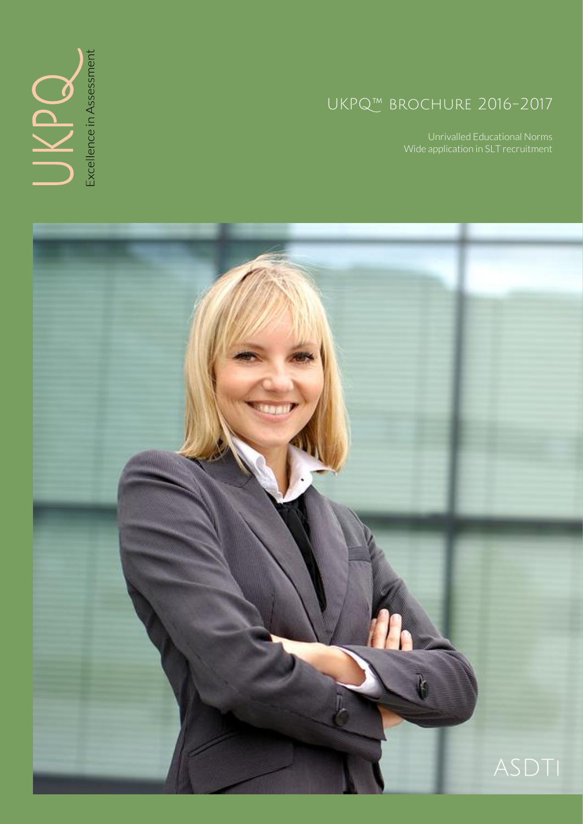# UKPQ™ brochure 2016-2017

Wide application in SLT recruitment



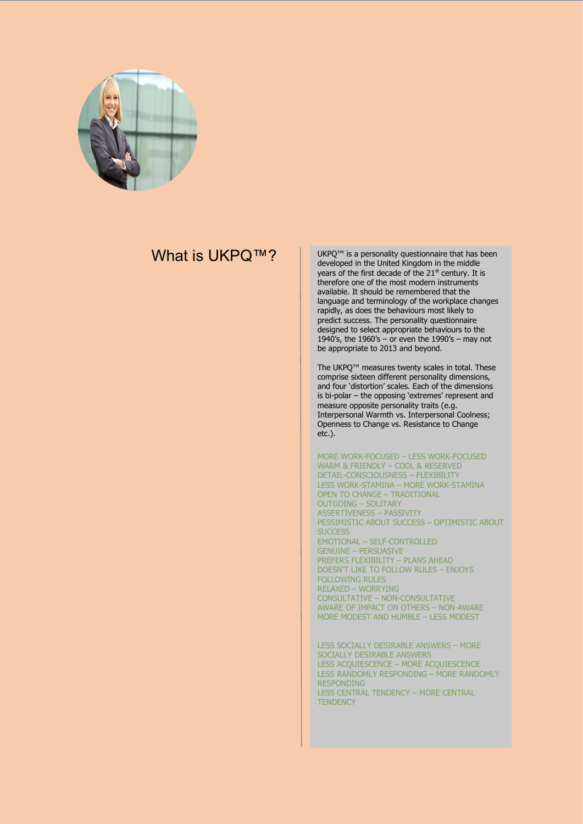

### What is UKPO™?

UKPQ™ is a personality questionnaire that has been developed in the United Kingdom in the middle years of the first decade of the 21<sup>st</sup> century. It is therefore one of the most modern instruments available. It should be remembered that the language and terminology of the workplace changes rapidly, as does the behaviours most likely to predict success. The personality questionnaire designed to select appropriate behaviours to the 1940's, the 1960's – or even the 1990's – may not be appropriate to 2013 and beyond.

The UKPQ™ measures twenty scales in total. These comprise sixteen different personality dimensions, and four 'distortion' scales. Each of the dimensions is bi-polar – the opposing 'extremes' represent and measure opposite personality traits (e.g. Interpersonal Warmth vs. Interpersonal Coolness; Openness to Change vs. Resistance to Change etc.).

MORE WORK-FOCUSED – LESS WORK-FOCUSED WARM & FRIENDLY – COOL & RESERVED DETAIL-CONSCIOUSNESS – FLEXIBILITY LESS WORK-STAMINA – MORE WORK-STAMINA OPEN TO CHANGE – TRADITIONAL OUTGOING – SOLITARY ASSERTIVENESS – PASSIVITY PESSIMISTIC ABOUT SUCCESS – OPTIMISTIC ABOUT **SUCCESS** EMOTIONAL – SELF-CONTROLLED GENUINE – PERSUASIVE PREFERS FLEXIBILITY – PLANS AHEAD DOESN'T LIKE TO FOLLOW RULES – ENJOYS FOLLOWING RULES RELAXED – WORRYING CONSULTATIVE – NON-CONSULTATIVE AWARE OF IMPACT ON OTHERS – NON-AWARE MORE MODEST AND HUMBLE – LESS MODEST

LESS SOCIALLY DESIRABLE ANSWERS – MORE SOCIALLY DESIRABLE ANSWERS LESS ACQUIESCENCE – MORE ACQUIESCENCE LESS RANDOMLY RESPONDING – MORE RANDOMLY RESPONDING LESS CENTRAL TENDENCY – MORE CENTRAL **TENDENCY**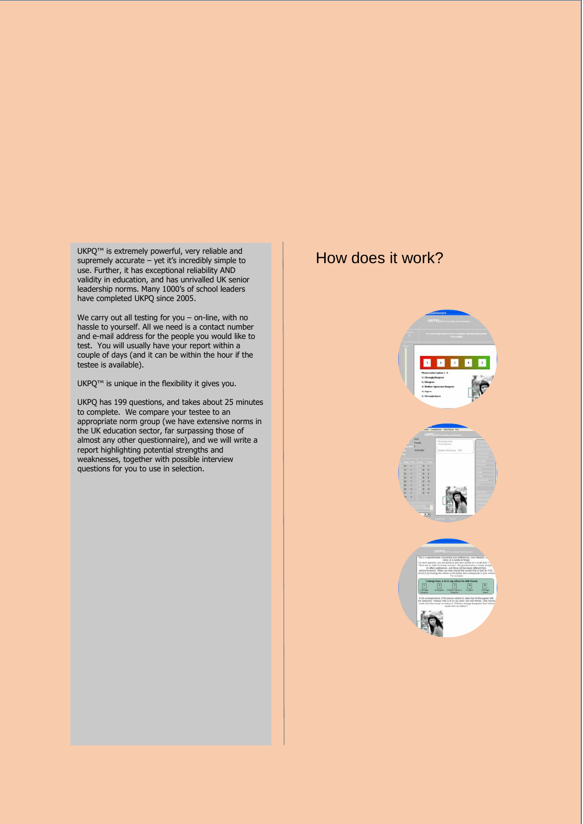UKPQ™ is extremely powerful, very reliable and supremely accurate – yet it's incredibly simple to use. Further, it has exceptional reliability AND validity in education, and has unrivalled UK senior leadership norms. Many 1000's of school leaders have completed UKPQ since 2005.

We carry out all testing for you – on-line, with no hassle to yourself. All we need is a contact number and e-mail address for the people you would like to test. You will usually have your report within a couple of days (and it can be within the hour if the testee is available).

UKPQ<sup>™</sup> is unique in the flexibility it gives you.

UKPQ has 199 questions, and takes about 25 minutes to complete. We compare your testee to an appropriate norm group (we have extensive norms in the UK education sector, far surpassing those of almost any other questionnaire), and we will write a report highlighting potential strengths and weaknesses, together with possible interview questions for you to use in selection.

## How does it work?